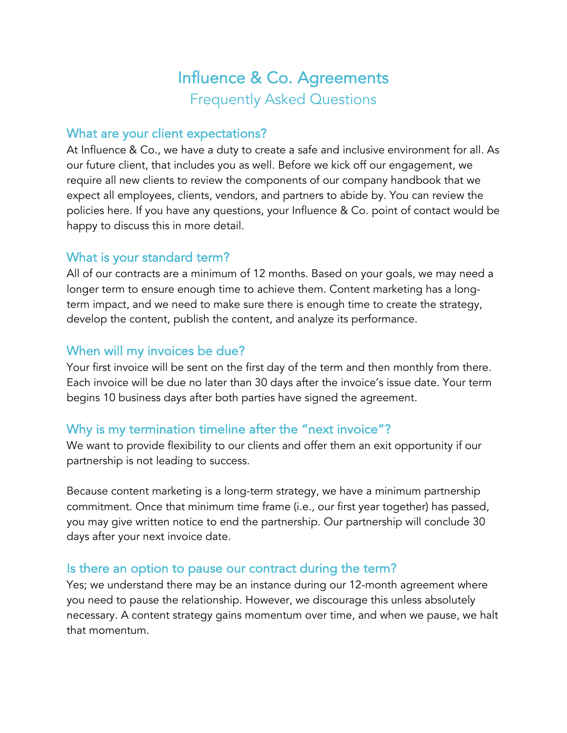# Influence & Co. Agreements Frequently Asked Questions

#### What are your client expectations?

At Influence & Co., we have a duty to create a safe and inclusive environment for all. As our future client, that includes you as well. Before we kick off our engagement, we require all new clients to review the components of our company handbook that we expect all employees, clients, vendors, and partners to abide by. You can review the policies here. If you have any questions, your Influence & Co. point of contact would be happy to discuss this in more detail.

## What is your standard term?

All of our contracts are a minimum of 12 months. Based on your goals, we may need a longer term to ensure enough time to achieve them. Content marketing has a longterm impact, and we need to make sure there is enough time to create the strategy, develop the content, publish the content, and analyze its performance.

## When will my invoices be due?

Your first invoice will be sent on the first day of the term and then monthly from there. Each invoice will be due no later than 30 days after the invoice's issue date. Your term begins 10 business days after both parties have signed the agreement.

## Why is my termination timeline after the "next invoice"?

We want to provide flexibility to our clients and offer them an exit opportunity if our partnership is not leading to success.

Because content marketing is a long-term strategy, we have a minimum partnership commitment. Once that minimum time frame (i.e., our first year together) has passed, you may give written notice to end the partnership. Our partnership will conclude 30 days after your next invoice date.

## Is there an option to pause our contract during the term?

Yes; we understand there may be an instance during our 12-month agreement where you need to pause the relationship. However, we discourage this unless absolutely necessary. A content strategy gains momentum over time, and when we pause, we halt that momentum.